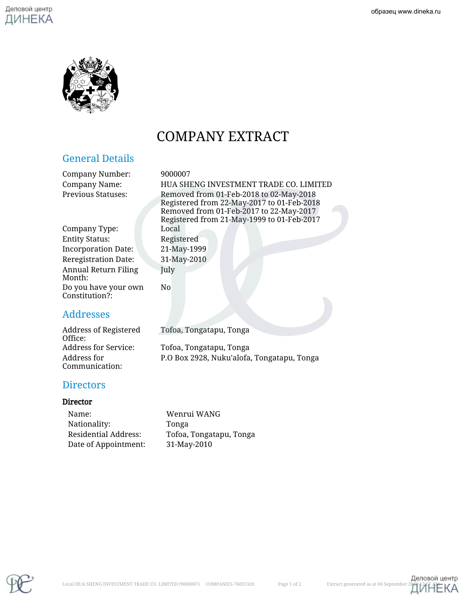

# COMPANY EXTRACT

# General Details

Company Number: 9000007

Company Name: HUA SHENG INVESTMENT TRADE CO. LIMITED Previous Statuses: Removed from 01-Feb-2018 to 02-May-2018 Registered from 22-May-2017 to 01-Feb-2018 Removed from 01-Feb-2017 to 22-May-2017 Registered from 21-May-1999 to 01-Feb-2017

Company Type: Local Entity Status: Registered Incorporation Date: 21-May-1999 Reregistration Date: 31-May-2010 Annual Return Filing Month: Do you have your own Constitution?:

# Addresses

Address of Registered Office: Tofoa, Tongatapu, Tonga Address for Service: Tofoa, Tongatapu, Tonga Address for Communication: P.O Box 2928, Nuku'alofa, Tongatapu, Tonga

# **Directors**

#### Director

| Name:                | Wenrui WANG             |
|----------------------|-------------------------|
| Nationality:         | Tonga                   |
| Residential Address: | Tofoa, Tongatapu, Tonga |
| Date of Appointment: | 31-May-2010             |

July

No